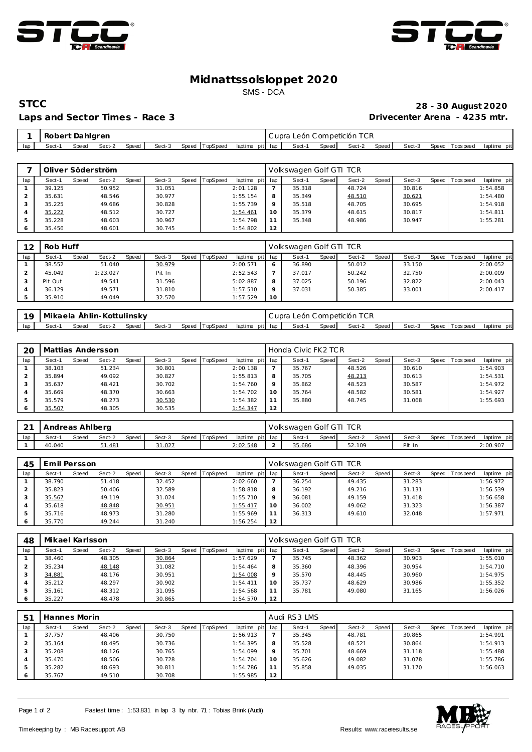



#### **Midnattssolsloppet 2020** SMS - DCA

### Laps and Sector Times - Race 3

# **STCC 28 - 30 August 2020**

|     | Robert Dahlgren |       |        |       |        |                |                 | Cupra León Competición TCR |       |        |       |        |                |             |
|-----|-----------------|-------|--------|-------|--------|----------------|-----------------|----------------------------|-------|--------|-------|--------|----------------|-------------|
| lap | Sect-1          | Speed | Sect-2 | Speed | Sect-3 | Speed TopSpeed | laptime pit lap | Sect-1                     | Speed | Sect-2 | Speed | Sect-3 | Speed Topspeed | laptime pit |

|     |        |       | Oliver Söderström |       |        |       |          |                 |         | Volkswagen Golf GTI TCR |         |        |       |        |       |                   |             |
|-----|--------|-------|-------------------|-------|--------|-------|----------|-----------------|---------|-------------------------|---------|--------|-------|--------|-------|-------------------|-------------|
| lap | Sect-1 | Speed | Sect-2            | Speed | Sect-3 | Speed | TopSpeed | laptime pit lap |         | Sect-1                  | Speed I | Sect-2 | Speed | Sect-3 | Speed | <b>T</b> ops peed | laptime pit |
|     | 39.125 |       | 50.952            |       | 31.051 |       |          | 2:01.128        |         | 35.318                  |         | 48.724 |       | 30.816 |       |                   | 1:54.858    |
|     | 35.631 |       | 48.546            |       | 30.977 |       |          | 1:55.154        | 8       | 35.349                  |         | 48.510 |       | 30.621 |       |                   | 1:54.480    |
|     | 35.225 |       | 49.686            |       | 30.828 |       |          | 1:55.739        | $\circ$ | 35.518                  |         | 48.705 |       | 30.695 |       |                   | 1:54.918    |
|     | 35.222 |       | 48.512            |       | 30.727 |       |          | 1:54.461        | 10      | 35.379                  |         | 48.615 |       | 30.817 |       |                   | 1:54.811    |
| 5   | 35.228 |       | 48.603            |       | 30.967 |       |          | 1:54.798        |         | 35.348                  |         | 48.986 |       | 30.947 |       |                   | 1:55.281    |
|     | 35.456 |       | 48.601            |       | 30.745 |       |          | 1:54.802        | 12      |                         |         |        |       |        |       |                   |             |

| 12  | Rob Huff |       |          |       |        |                |                 |    | Volkswagen Golf GTI TCR |       |        |       |        |                |             |
|-----|----------|-------|----------|-------|--------|----------------|-----------------|----|-------------------------|-------|--------|-------|--------|----------------|-------------|
| lap | Sect-1   | Speed | Sect-2   | Speed | Sect-3 | Speed TopSpeed | laptime pit lap |    | Sect-1                  | Speed | Sect-2 | Speed | Sect-3 | Speed Topspeed | laptime pit |
|     | 38.552   |       | 51.040   |       | 30.979 |                | 2:00.571        |    | 36.890                  |       | 50.012 |       | 33.150 |                | 2:00.052    |
|     | 45.049   |       | 1:23.027 |       | Pit In |                | 2:52.543        |    | 37.017                  |       | 50.242 |       | 32.750 |                | 2:00.009    |
|     | Pit Out  |       | 49.541   |       | 31.596 |                | 5:02.887        |    | 37.025                  |       | 50.196 |       | 32.822 |                | 2:00.043    |
|     | 36.129   |       | 49.571   |       | 31.810 |                | 1:57.510        |    | 37.031                  |       | 50.385 |       | 33.001 |                | 2:00.417    |
|     | 35.910   |       | 49.049   |       | 32.570 |                | 1:57.529        | 10 |                         |       |        |       |        |                |             |

|                | – 19   Mikaela Åhlin-Kottulinsky |       |        |       |        |  |                                | Cupra León Competición TCR |       |              |        |                  |             |
|----------------|----------------------------------|-------|--------|-------|--------|--|--------------------------------|----------------------------|-------|--------------|--------|------------------|-------------|
| $\blacksquare$ | Sect-1                           | Speed | Sect-2 | Speed | Sect-3 |  | Speed TopSpeed laptime pit lap | Sect-1                     | Speed | Sect-2 Speed | Sect-3 | Speed   Topspeed | laptime pit |

| 20  |        |       | Mattias Andersson |       |        |       |                 |             |         | Honda Civic FK2 TCR |       |        |       |        |              |            |             |
|-----|--------|-------|-------------------|-------|--------|-------|-----------------|-------------|---------|---------------------|-------|--------|-------|--------|--------------|------------|-------------|
| lap | Sect-1 | Speed | Sect-2            | Speed | Sect-3 | Speed | <b>TopSpeed</b> | laptime pit | lap     | Sect-1              | Speed | Sect-2 | Speed | Sect-3 | <b>Speed</b> | Tops pee d | laptime pit |
|     | 38.103 |       | 51.234            |       | 30.801 |       |                 | 2:00.138    |         | 35.767              |       | 48.526 |       | 30.610 |              |            | 1:54.903    |
|     | 35.894 |       | 49.092            |       | 30.827 |       |                 | 1:55.813    | 8       | 35.705              |       | 48.213 |       | 30.613 |              |            | 1:54.531    |
|     | 35.637 |       | 48.421            |       | 30.702 |       |                 | 1:54.760    | $\circ$ | 35.862              |       | 48.523 |       | 30.587 |              |            | 1:54.972    |
|     | 35.669 |       | 48.370            |       | 30.663 |       |                 | 1:54.702    | 10      | 35.764              |       | 48.582 |       | 30.581 |              |            | 1:54.927    |
|     | 35.579 |       | 48.273            |       | 30.530 |       |                 | 1:54.382    | 11      | 35.880              |       | 48.745 |       | 31.068 |              |            | 1:55.693    |
|     | 35.507 |       | 48.305            |       | 30.535 |       |                 | 1:54.347    | 12      |                     |       |        |       |        |              |            |             |

| $\sim$<br><u>_</u> | Andreas Ahlberg |       |        |       |        |                |                 | Volkswagen Golf GTI TCR |       |        |       |        |                 |             |
|--------------------|-----------------|-------|--------|-------|--------|----------------|-----------------|-------------------------|-------|--------|-------|--------|-----------------|-------------|
| lap                | Sect-1          | Speed | Sect-2 | Speed | Sect-3 | Speed TopSpeed | laptime pit lap | Sect-                   | Speed | Sect-2 | Speed | Sect-3 | Speed Tops peed | laptime pit |
|                    | 40.040          |       | 51.481 |       | 31.027 |                | <u>2:02.548</u> | 35.686                  |       | 52.109 |       | Pit In |                 | 2:00.907    |

| 45  | Emil Persson |       |        |              |        |       |          |                 |         | Volkswagen Golf GTI TCR |       |        |       |        |         |            |             |
|-----|--------------|-------|--------|--------------|--------|-------|----------|-----------------|---------|-------------------------|-------|--------|-------|--------|---------|------------|-------------|
| lap | Sect-1       | Speed | Sect-2 | <b>Speed</b> | Sect-3 | Speed | TopSpeed | laptime pit lap |         | Sect-1                  | Speed | Sect-2 | Speed | Sect-3 | Speed I | T ops peed | laptime pit |
|     | 38.790       |       | 51.418 |              | 32.452 |       |          | 2:02.660        |         | 36.254                  |       | 49.435 |       | 31.283 |         |            | 1:56.972    |
|     | 35.823       |       | 50.406 |              | 32.589 |       |          | 1:58.818        | 8       | 36.192                  |       | 49.216 |       | 31.131 |         |            | 1:56.539    |
|     | 35.567       |       | 49.119 |              | 31.024 |       |          | 1:55.710        | $\circ$ | 36.081                  |       | 49.159 |       | 31.418 |         |            | 1:56.658    |
| 4   | 35.618       |       | 48.848 |              | 30.951 |       |          | 1:55.417        | 10      | 36.002                  |       | 49.062 |       | 31.323 |         |            | 1:56.387    |
|     | 35.716       |       | 48.973 |              | 31.280 |       |          | 1:55.969        | 11      | 36.313                  |       | 49.610 |       | 32.048 |         |            | 1:57.971    |
|     | 35.770       |       | 49.244 |              | 31.240 |       |          | 1:56.254        | 12      |                         |       |        |       |        |         |            |             |

| 48  | Mikael Karlsson |       |        |              |        |       |                 |                 |          | Volkswagen Golf GTI TCR |       |        |       |        |                |             |
|-----|-----------------|-------|--------|--------------|--------|-------|-----------------|-----------------|----------|-------------------------|-------|--------|-------|--------|----------------|-------------|
| lap | Sect-1          | Speed | Sect-2 | <b>Speed</b> | Sect-3 | Speed | <b>TopSpeed</b> | laptime pit lap |          | Sect-1                  | Speed | Sect-2 | Speed | Sect-3 | Speed Topspeed | laptime pit |
|     | 38.460          |       | 48.305 |              | 30.864 |       |                 | 1:57.629        |          | 35.745                  |       | 48.362 |       | 30.903 |                | 1:55.010    |
|     | 35.234          |       | 48.148 |              | 31.082 |       |                 | 1:54.464        | 8        | 35.360                  |       | 48.396 |       | 30.954 |                | 1:54.710    |
|     | 34.881          |       | 48.176 |              | 30.951 |       |                 | 1:54.008        | $\Omega$ | 35.570                  |       | 48.445 |       | 30.960 |                | 1:54.975    |
|     | 35.212          |       | 48.297 |              | 30.902 |       |                 | 1:54.411        | 10       | 35.737                  |       | 48.629 |       | 30.986 |                | 1:55.352    |
|     | 35.161          |       | 48.312 |              | 31.095 |       |                 | 1:54.568        |          | 35.781                  |       | 49.080 |       | 31.165 |                | 1:56.026    |
|     | 35.227          |       | 48.478 |              | 30.865 |       |                 | 1:54.570        | 12       |                         |       |        |       |        |                |             |

| 5 <sup>1</sup> | Hannes Morin |       |        |       |        |                |             |         | Audi RS3 LMS |       |        |       |        |                |             |
|----------------|--------------|-------|--------|-------|--------|----------------|-------------|---------|--------------|-------|--------|-------|--------|----------------|-------------|
| lap            | Sect-1       | Speed | Sect-2 | Speed | Sect-3 | Speed TopSpeed | laptime pit | lap     | Sect-1       | Speed | Sect-2 | Speed | Sect-3 | Speed Topspeed | laptime pit |
|                | 37.757       |       | 48.406 |       | 30.750 |                | 1:56.913    |         | 35.345       |       | 48.781 |       | 30.865 |                | 1:54.991    |
|                | 35.164       |       | 48.495 |       | 30.736 |                | 1:54.395    | 8       | 35.528       |       | 48.521 |       | 30.864 |                | 1:54.913    |
| 3              | 35.208       |       | 48.126 |       | 30.765 |                | 1:54.099    | $\circ$ | 35.701       |       | 48.669 |       | 31.118 |                | 1:55.488    |
| 4              | 35.470       |       | 48.506 |       | 30.728 |                | 1:54.704    | 10      | 35.626       |       | 49.082 |       | 31.078 |                | 1:55.786    |
| -5             | 35.282       |       | 48.693 |       | 30.811 |                | 1:54.786    | 11      | 35.858       |       | 49.035 |       | 31.170 |                | 1:56.063    |
| 6              | 35.767       |       | 49.510 |       | 30.708 |                | 1:55.985    | 12      |              |       |        |       |        |                |             |

Page 1 of 2 Fastest time: 1:53.831 in lap 3 by nbr. 71 : Tobias Brink (Audi)